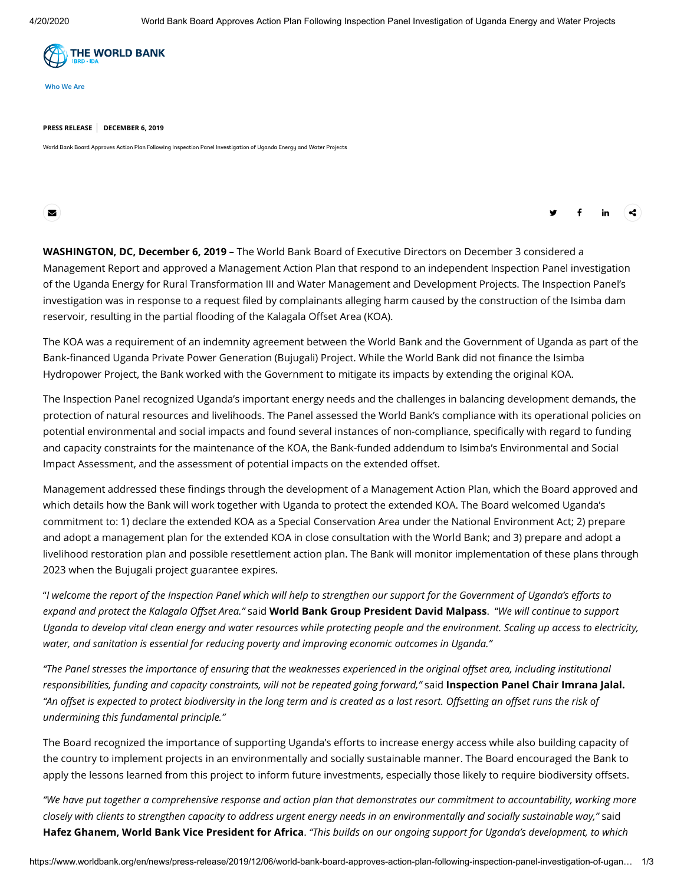

**[Who We Are](https://www.worldbank.org/en/who-we-are)**

## **PRESS RELEASE DECEMBER 6, 2019**

World Bank Board Approves Action Plan Following Inspection Panel Investigation of Uganda Energy and Water Projects

조 (Architecture of the control of the control of the control of the control of the control of the control of the control of the control of the control of the control of the control of the control of the control of the co

**WASHINGTON, DC, December 6, 2019** – The World Bank Board of Executive Directors on December 3 considered a [Management Report](https://www.inspectionpanel.org/sites/www.inspectionpanel.org/files/cases/documents/110-113-Management%20Report%20and%20Recommendation-29%20June%202019.pdf) and approved a Management Action Plan that respond to an independent Inspection Panel [investigation](https://www.inspectionpanel.org/sites/www.inspectionpanel.org/files/cases/documents/110-113-Investigation%20Report-2%20May%202019.pdf) of the Uganda [Energy for Rural Transformation III](https://projects.worldbank.org/en/projects-operations/project-detail/P133312?lang=en&tab=newsmedia) and [Water Management and Development Projects](https://projects.worldbank.org/en/projects-operations/project-detail/P123204?lang=en). The Inspection Panel's investigation was in response to a request filed by complainants alleging harm caused by the construction of the Isimba dam reservoir, resulting in the partial flooding of the Kalagala Offset Area (KOA).

The KOA was a requirement of an indemnity agreement between the World Bank and the Government of Uganda as part of the Bank-financed Uganda Private Power Generation (Bujugali) Project. While the World Bank did not finance the Isimba Hydropower Project, the Bank worked with the Government to mitigate its impacts by extending the original KOA.

The Inspection Panel recognized Uganda's important energy needs and the challenges in balancing development demands, the protection of natural resources and livelihoods. The Panel assessed the World Bank's compliance with its operational policies on potential environmental and social impacts and found several instances of non-compliance, specifically with regard to funding and capacity constraints for the maintenance of the KOA, the Bank-funded addendum to Isimba's Environmental and Social Impact Assessment, and the assessment of potential impacts on the extended offset.

Management addressed these findings through the development of a Management Action Plan, which the Board approved and which details how the Bank will work together with Uganda to protect the extended KOA. The Board welcomed Uganda's commitment to: 1) declare the extended KOA as a Special Conservation Area under the National Environment Act; 2) prepare and adopt a management plan for the extended KOA in close consultation with the World Bank; and 3) prepare and adopt a livelihood restoration plan and possible resettlement action plan. The Bank will monitor implementation of these plans through 2023 when the Bujugali project guarantee expires.

"*I welcome the report of the Inspection Panel which will help to strengthen our support for the Government of Uganda's efforts to expand and protect the Kalagala Offset Area."* said **World Bank Group President David Malpass**. "*We will continue to support Uganda to develop vital clean energy and water resources while protecting people and the environment. Scaling up access to electricity, water, and sanitation is essential for reducing poverty and improving economic outcomes in Uganda."*

*"The Panel stresses the importance of ensuring that the weaknesses experienced in the original offset area, including institutional responsibilities, funding and capacity constraints, will not be repeated going forward,"* said **Inspection Panel Chair Imrana Jalal.** *"An offset is expected to protect biodiversity in the long term and is created as a last resort. Offsetting an offset runs the risk of undermining this fundamental principle."*

The Board recognized the importance of supporting Uganda's efforts to increase energy access while also building capacity of the country to implement projects in an environmentally and socially sustainable manner. The Board encouraged the Bank to apply the lessons learned from this project to inform future investments, especially those likely to require biodiversity offsets.

*"We have put together a comprehensive response and action plan that demonstrates our commitment to accountability, working more closely with clients to strengthen capacity to address urgent energy needs in an environmentally and socially sustainable way,"* said **Hafez Ghanem, World Bank Vice President for Africa**. *"This builds on our ongoing support for Uganda's development, to which*